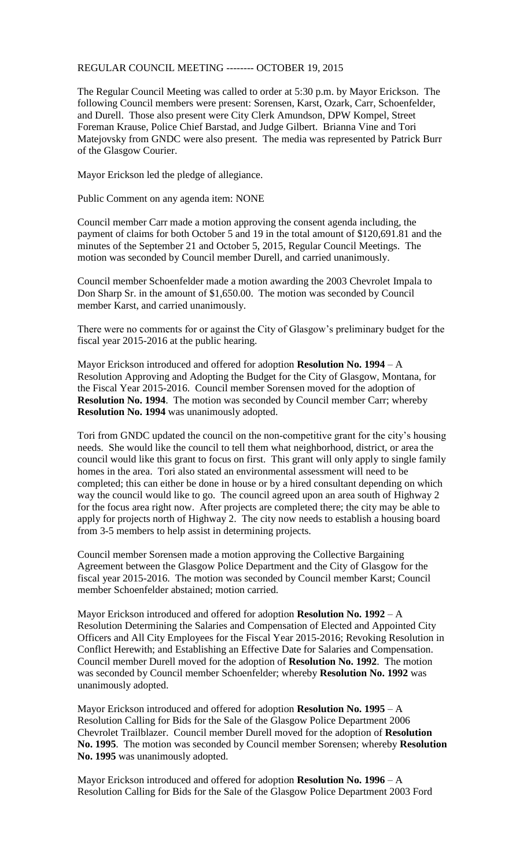## REGULAR COUNCIL MEETING -------- OCTOBER 19, 2015

The Regular Council Meeting was called to order at 5:30 p.m. by Mayor Erickson. The following Council members were present: Sorensen, Karst, Ozark, Carr, Schoenfelder, and Durell. Those also present were City Clerk Amundson, DPW Kompel, Street Foreman Krause, Police Chief Barstad, and Judge Gilbert. Brianna Vine and Tori Matejovsky from GNDC were also present. The media was represented by Patrick Burr of the Glasgow Courier.

Mayor Erickson led the pledge of allegiance.

Public Comment on any agenda item: NONE

Council member Carr made a motion approving the consent agenda including, the payment of claims for both October 5 and 19 in the total amount of \$120,691.81 and the minutes of the September 21 and October 5, 2015, Regular Council Meetings. The motion was seconded by Council member Durell, and carried unanimously.

Council member Schoenfelder made a motion awarding the 2003 Chevrolet Impala to Don Sharp Sr. in the amount of \$1,650.00. The motion was seconded by Council member Karst, and carried unanimously.

There were no comments for or against the City of Glasgow's preliminary budget for the fiscal year 2015-2016 at the public hearing.

Mayor Erickson introduced and offered for adoption **Resolution No. 1994** – A Resolution Approving and Adopting the Budget for the City of Glasgow, Montana, for the Fiscal Year 2015-2016. Council member Sorensen moved for the adoption of **Resolution No. 1994**. The motion was seconded by Council member Carr; whereby **Resolution No. 1994** was unanimously adopted.

Tori from GNDC updated the council on the non-competitive grant for the city's housing needs. She would like the council to tell them what neighborhood, district, or area the council would like this grant to focus on first. This grant will only apply to single family homes in the area. Tori also stated an environmental assessment will need to be completed; this can either be done in house or by a hired consultant depending on which way the council would like to go. The council agreed upon an area south of Highway 2 for the focus area right now. After projects are completed there; the city may be able to apply for projects north of Highway 2. The city now needs to establish a housing board from 3-5 members to help assist in determining projects.

Council member Sorensen made a motion approving the Collective Bargaining Agreement between the Glasgow Police Department and the City of Glasgow for the fiscal year 2015-2016. The motion was seconded by Council member Karst; Council member Schoenfelder abstained; motion carried.

Mayor Erickson introduced and offered for adoption **Resolution No. 1992** – A Resolution Determining the Salaries and Compensation of Elected and Appointed City Officers and All City Employees for the Fiscal Year 2015-2016; Revoking Resolution in Conflict Herewith; and Establishing an Effective Date for Salaries and Compensation. Council member Durell moved for the adoption of **Resolution No. 1992**. The motion was seconded by Council member Schoenfelder; whereby **Resolution No. 1992** was unanimously adopted.

Mayor Erickson introduced and offered for adoption **Resolution No. 1995** – A Resolution Calling for Bids for the Sale of the Glasgow Police Department 2006 Chevrolet Trailblazer. Council member Durell moved for the adoption of **Resolution No. 1995**. The motion was seconded by Council member Sorensen; whereby **Resolution No. 1995** was unanimously adopted.

Mayor Erickson introduced and offered for adoption **Resolution No. 1996** – A Resolution Calling for Bids for the Sale of the Glasgow Police Department 2003 Ford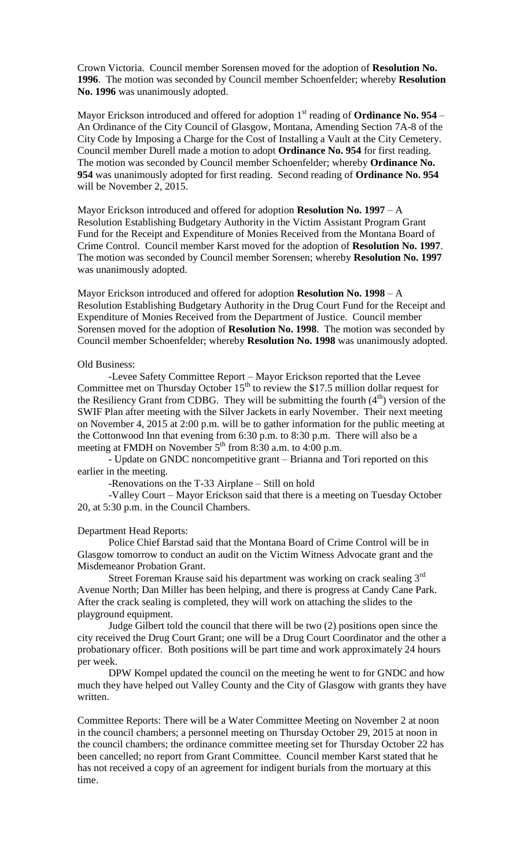Crown Victoria. Council member Sorensen moved for the adoption of **Resolution No. 1996**. The motion was seconded by Council member Schoenfelder; whereby **Resolution No. 1996** was unanimously adopted.

Mayor Erickson introduced and offered for adoption  $1<sup>st</sup>$  reading of **Ordinance No. 954** – An Ordinance of the City Council of Glasgow, Montana, Amending Section 7A-8 of the City Code by Imposing a Charge for the Cost of Installing a Vault at the City Cemetery. Council member Durell made a motion to adopt **Ordinance No. 954** for first reading. The motion was seconded by Council member Schoenfelder; whereby **Ordinance No. 954** was unanimously adopted for first reading. Second reading of **Ordinance No. 954** will be November 2, 2015.

Mayor Erickson introduced and offered for adoption **Resolution No. 1997** – A Resolution Establishing Budgetary Authority in the Victim Assistant Program Grant Fund for the Receipt and Expenditure of Monies Received from the Montana Board of Crime Control. Council member Karst moved for the adoption of **Resolution No. 1997**. The motion was seconded by Council member Sorensen; whereby **Resolution No. 1997** was unanimously adopted.

Mayor Erickson introduced and offered for adoption **Resolution No. 1998** – A Resolution Establishing Budgetary Authority in the Drug Court Fund for the Receipt and Expenditure of Monies Received from the Department of Justice. Council member Sorensen moved for the adoption of **Resolution No. 1998**. The motion was seconded by Council member Schoenfelder; whereby **Resolution No. 1998** was unanimously adopted.

## Old Business:

-Levee Safety Committee Report – Mayor Erickson reported that the Levee Committee met on Thursday October  $15<sup>th</sup>$  to review the \$17.5 million dollar request for the Resiliency Grant from CDBG. They will be submitting the fourth  $(4<sup>th</sup>)$  version of the SWIF Plan after meeting with the Silver Jackets in early November. Their next meeting on November 4, 2015 at 2:00 p.m. will be to gather information for the public meeting at the Cottonwood Inn that evening from 6:30 p.m. to 8:30 p.m. There will also be a meeting at FMDH on November  $5<sup>th</sup>$  from 8:30 a.m. to 4:00 p.m.

- Update on GNDC noncompetitive grant – Brianna and Tori reported on this earlier in the meeting.

-Renovations on the T-33 Airplane – Still on hold

-Valley Court – Mayor Erickson said that there is a meeting on Tuesday October 20, at 5:30 p.m. in the Council Chambers.

## Department Head Reports:

Police Chief Barstad said that the Montana Board of Crime Control will be in Glasgow tomorrow to conduct an audit on the Victim Witness Advocate grant and the Misdemeanor Probation Grant.

Street Foreman Krause said his department was working on crack sealing 3<sup>rd</sup> Avenue North; Dan Miller has been helping, and there is progress at Candy Cane Park. After the crack sealing is completed, they will work on attaching the slides to the playground equipment.

Judge Gilbert told the council that there will be two (2) positions open since the city received the Drug Court Grant; one will be a Drug Court Coordinator and the other a probationary officer. Both positions will be part time and work approximately 24 hours per week.

DPW Kompel updated the council on the meeting he went to for GNDC and how much they have helped out Valley County and the City of Glasgow with grants they have written.

Committee Reports: There will be a Water Committee Meeting on November 2 at noon in the council chambers; a personnel meeting on Thursday October 29, 2015 at noon in the council chambers; the ordinance committee meeting set for Thursday October 22 has been cancelled; no report from Grant Committee. Council member Karst stated that he has not received a copy of an agreement for indigent burials from the mortuary at this time.